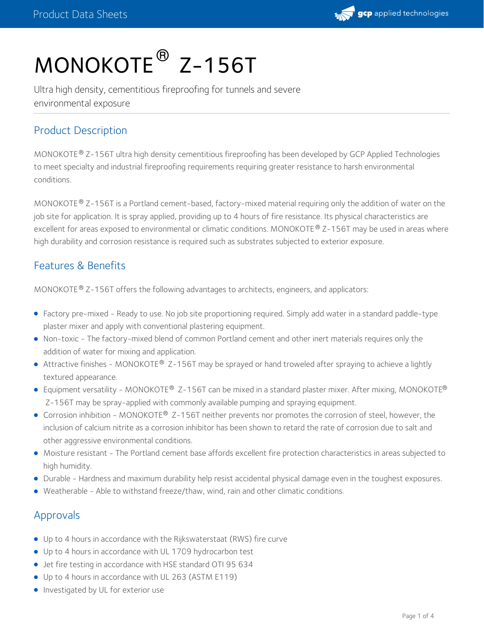

# MONOKOTE<sup>®</sup> Z-156T

Ultra high density, cementitious fireproofing for tunnels and severe environmental exposure

# Product Description

MONOKOTE® Z-156T ultra high density cementitious fireproofing has been developed by GCP Applied Technologies to meet specialty and industrial fireproofing requirements requiring greater resistance to harsh environmental conditions.

MONOKOTE® Z-156T is a Portland cement-based, factory-mixed material requiring only the addition of water on the job site for application. It is spray applied, providing up to 4 hours of fire resistance. Its physical characteristics are excellent for areas exposed to environmental or climatic conditions. MONOKOTE® Z-156T may be used in areas where high durability and corrosion resistance is required such as substrates subjected to exterior exposure.

#### Features & Benefits

MONOKOTE  $^{\circledR}$  Z-156T offers the following advantages to architects, engineers, and applicators:

- Factory pre-mixed Ready to use. No job site proportioning required. Simply add water in a standard paddle-type plaster mixer and apply with conventional plastering equipment.
- Non-toxic The factory-mixed blend of common Portland cement and other inert materials requires only the addition of water for mixing and application.
- Attractive finishes MONOKOTE® Z-156T may be sprayed or hand troweled after spraying to achieve a lightly textured appearance.
- Equipment versatility MONOKOTE® Z-156T can be mixed in a standard plaster mixer. After mixing, MONOKOTE® Z-156T may be spray-applied with commonly available pumping and spraying equipment.
- Corrosion inhibition MONOKOTE® Z-156T neither prevents nor promotes the corrosion of steel, however, the inclusion of calcium nitrite as a corrosion inhibitor has been shown to retard the rate of corrosion due to salt and other aggressive environmental conditions.
- Moisture resistant The Portland cement base affords excellent fire protection characteristics in areas subjected to high humidity.
- Durable Hardness and maximum durability help resist accidental physical damage even in the toughest exposures.
- Weatherable Able to withstand freeze/thaw, wind, rain and other climatic conditions.

### Approvals

- Up to 4 hours in accordance with the Rijkswaterstaat (RWS) fire curve
- Up to 4 hours in accordance with UL 1709 hydrocarbon test
- Jet fire testing in accordance with HSE standard OTI 95 634
- Up to 4 hours in accordance with UL 263 (ASTM E119)
- **Investigated by UL for exterior use**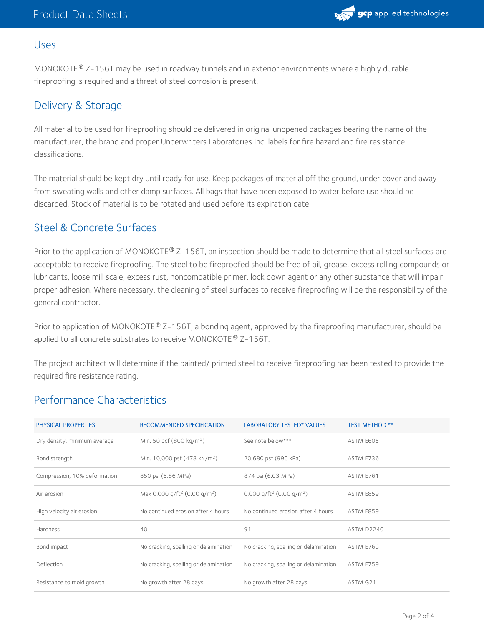

#### Uses

MONOKOTE® Z-156T may be used in roadway tunnels and in exterior environments where a highly durable fireproofing is required and a threat of steel corrosion is present.

# Delivery & Storage

All material to be used for fireproofing should be delivered in original unopened packages bearing the name of the manufacturer, the brand and proper Underwriters Laboratories Inc. labels for fire hazard and fire resistance classifications.

The material should be kept dry until ready for use. Keep packages of material off the ground, under cover and away from sweating walls and other damp surfaces. All bags that have been exposed to water before use should be discarded. Stock of material is to be rotated and used before its expiration date.

## Steel & Concrete Surfaces

Prior to the application of MONOKOTE® Z-156T, an inspection should be made to determine that all steel surfaces are acceptable to receive fireproofing. The steel to be fireproofed should be free of oil, grease, excess rolling compounds or lubricants, loose mill scale, excess rust, noncompatible primer, lock down agent or any other substance that will impair proper adhesion. Where necessary, the cleaning of steel surfaces to receive fireproofing will be the responsibility of the general contractor.

Prior to application of MONOKOTE® Z-156T, a bonding agent, approved by the fireproofing manufacturer, should be applied to all concrete substrates to receive MONOKOTE® Z-156T.

The project architect will determine if the painted/ primed steel to receive fireproofing has been tested to provide the required fire resistance rating.

### Performance Characteristics

| PHYSICAL PROPERTIES          | <b>RECOMMENDED SPECIFICATION</b>                     | <b>LABORATORY TESTED* VALUES</b>                 | <b>TEST METHOD **</b> |
|------------------------------|------------------------------------------------------|--------------------------------------------------|-----------------------|
| Dry density, minimum average | Min. 50 pcf (800 kg/m <sup>3</sup> )                 | See note below***                                | ASTM E605             |
| Bond strength                | Min. 10,000 psf (478 kN/m <sup>2</sup> )             | 20,680 psf (990 kPa)                             | ASTM E736             |
| Compression, 10% deformation | 850 psi (5.86 MPa)                                   | 874 psi (6.03 MPa)                               | ASTM E761             |
| Air erosion                  | Max 0.000 g/ft <sup>2</sup> (0.00 g/m <sup>2</sup> ) | 0.000 g/ft <sup>2</sup> (0.00 g/m <sup>2</sup> ) | ASTM E859             |
| High velocity air erosion    | No continued erosion after 4 hours                   | No continued erosion after 4 hours               | ASTM E859             |
| Hardness                     | 40                                                   | 91                                               | ASTM D2240            |
| Bond impact                  | No cracking, spalling or delamination                | No cracking, spalling or delamination            | ASTM E760             |
| Deflection                   | No cracking, spalling or delamination                | No cracking, spalling or delamination            | ASTM E759             |
| Resistance to mold growth    | No growth after 28 days                              | No growth after 28 days                          | ASTM G21              |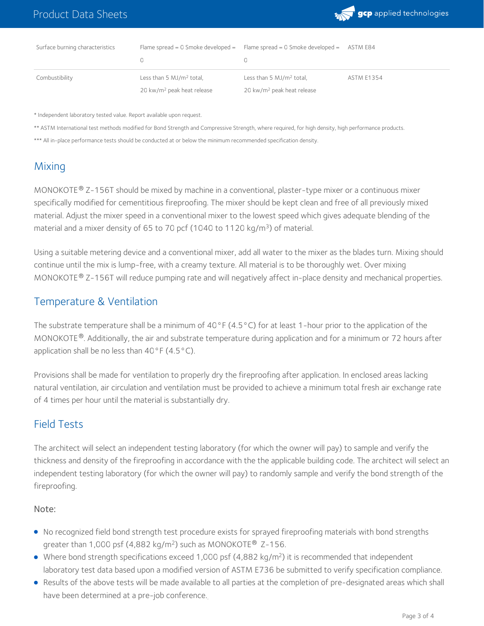

| Surface burning characteristics | Flame spread $= 0$ Smoke developed $=$ | Flame spread $= 0$ Smoke developed $=$ | ASTM E84          |
|---------------------------------|----------------------------------------|----------------------------------------|-------------------|
|                                 |                                        |                                        |                   |
| Combustibility                  | Less than $5 \mathrm{MJ/m^2}$ total,   | Less than 5 MJ/m <sup>2</sup> total,   | <b>ASTM E1354</b> |
|                                 | 20 kw/m <sup>2</sup> peak heat release | 20 kw/m <sup>2</sup> peak heat release |                   |

\* Independent laboratory tested value. Report available upon request.

\*\* ASTM International test methods modified for Bond Strength and Compressive Strength, where required, for high density, high performance products.

\*\*\* All in-place performance tests should be conducted at or below the minimum recommended specification density.

# **Mixing**

MONOKOTE  $^{\circledR}$  Z-156T should be mixed by machine in a conventional, plaster-type mixer or a continuous mixer specifically modified for cementitious fireproofing. The mixer should be kept clean and free of all previously mixed material. Adjust the mixer speed in a conventional mixer to the lowest speed which gives adequate blending of the material and a mixer density of 65 to 70 pcf (1040 to 1120 kg/m<sup>3</sup>) of material.

Using a suitable metering device and a conventional mixer, add all water to the mixer as the blades turn. Mixing should continue until the mix is lump-free, with a creamy texture. All material is to be thoroughly wet. Over mixing MONOKOTE® Z-156T will reduce pumping rate and will negatively affect in-place density and mechanical properties.

#### Temperature & Ventilation

The substrate temperature shall be a minimum of 40°F (4.5°C) for at least 1-hour prior to the application of the MONOKOTE®. Additionally, the air and substrate temperature during application and for a minimum or 72 hours after application shall be no less than  $40^{\circ}$ F (4.5 $^{\circ}$ C).

Provisions shall be made for ventilation to properly dry the fireproofing after application. In enclosed areas lacking natural ventilation, air circulation and ventilation must be provided to achieve a minimum total fresh air exchange rate of 4 times per hour until the material is substantially dry.

### Field Tests

The architect will select an independent testing laboratory (for which the owner will pay) to sample and verify the thickness and density of the fireproofing in accordance with the the applicable building code. The architect will select an independent testing laboratory (for which the owner will pay) to randomly sample and verify the bond strength of the fireproofing.

#### Note:

- No recognized field bond strength test procedure exists for sprayed fireproofing materials with bond strengths greater than 1,000 psf  $(4,882 \text{ kg/m}^2)$  such as MONOKOTE® Z-156.
- Where bond strength specifications exceed 1,000 psf (4,882 kg/m<sup>2</sup>) it is recommended that independent laboratory test data based upon a modified version of ASTM E736 be submitted to verify specification compliance.
- Results of the above tests will be made available to all parties at the completion of pre-designated areas which shall have been determined at a pre-job conference. .